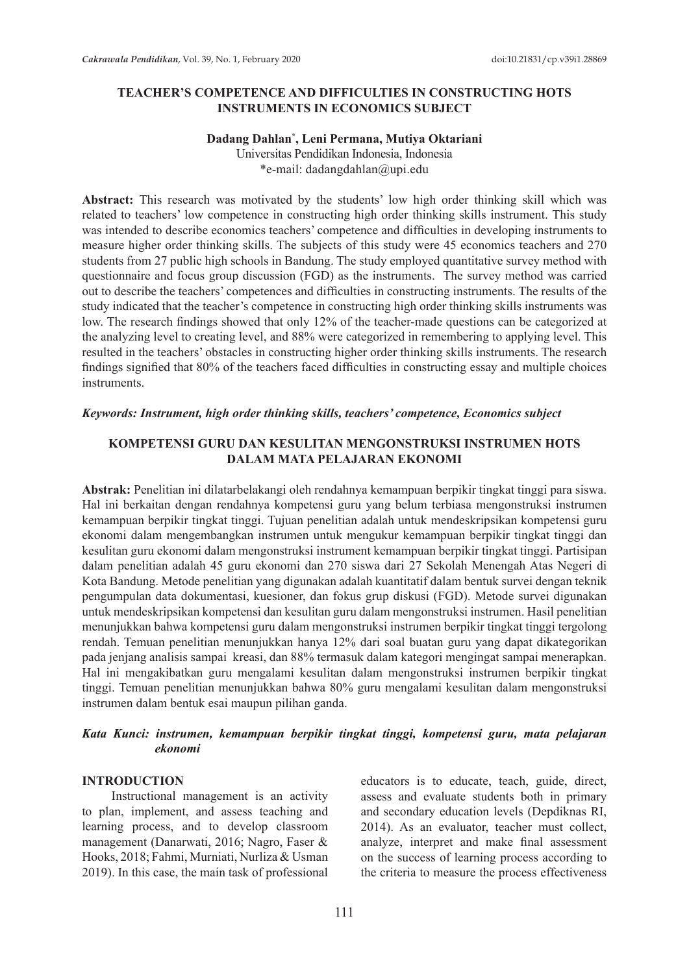### **TEACHER'S COMPETENCE AND DIFFICULTIES IN CONSTRUCTING HOTS INSTRUMENTS IN ECONOMICS SUBJECT**

# **Dadang Dahlan\* , Leni Permana, Mutiya Oktariani**

Universitas Pendidikan Indonesia, Indonesia \*e-mail: dadangdahlan@upi.edu

**Abstract:** This research was motivated by the students' low high order thinking skill which was related to teachers' low competence in constructing high order thinking skills instrument. This study was intended to describe economics teachers' competence and difficulties in developing instruments to measure higher order thinking skills. The subjects of this study were 45 economics teachers and 270 students from 27 public high schools in Bandung. The study employed quantitative survey method with questionnaire and focus group discussion (FGD) as the instruments. The survey method was carried out to describe the teachers' competences and difficulties in constructing instruments. The results of the study indicated that the teacher's competence in constructing high order thinking skills instruments was low. The research findings showed that only 12% of the teacher-made questions can be categorized at the analyzing level to creating level, and 88% were categorized in remembering to applying level. This resulted in the teachers' obstacles in constructing higher order thinking skills instruments. The research findings signified that 80% of the teachers faced difficulties in constructing essay and multiple choices instruments.

#### *Keywords: Instrument, high order thinking skills, teachers' competence, Economics subject*

### **KOMPETENSI GURU DAN KESULITAN MENGONSTRUKSI INSTRUMEN HOTS DALAM MATA PELAJARAN EKONOMI**

**Abstrak:** Penelitian ini dilatarbelakangi oleh rendahnya kemampuan berpikir tingkat tinggi para siswa. Hal ini berkaitan dengan rendahnya kompetensi guru yang belum terbiasa mengonstruksi instrumen kemampuan berpikir tingkat tinggi. Tujuan penelitian adalah untuk mendeskripsikan kompetensi guru ekonomi dalam mengembangkan instrumen untuk mengukur kemampuan berpikir tingkat tinggi dan kesulitan guru ekonomi dalam mengonstruksi instrument kemampuan berpikir tingkat tinggi. Partisipan dalam penelitian adalah 45 guru ekonomi dan 270 siswa dari 27 Sekolah Menengah Atas Negeri di Kota Bandung. Metode penelitian yang digunakan adalah kuantitatif dalam bentuk survei dengan teknik pengumpulan data dokumentasi, kuesioner, dan fokus grup diskusi (FGD). Metode survei digunakan untuk mendeskripsikan kompetensi dan kesulitan guru dalam mengonstruksi instrumen. Hasil penelitian menunjukkan bahwa kompetensi guru dalam mengonstruksi instrumen berpikir tingkat tinggi tergolong rendah. Temuan penelitian menunjukkan hanya 12% dari soal buatan guru yang dapat dikategorikan pada jenjang analisis sampai kreasi, dan 88% termasuk dalam kategori mengingat sampai menerapkan. Hal ini mengakibatkan guru mengalami kesulitan dalam mengonstruksi instrumen berpikir tingkat tinggi. Temuan penelitian menunjukkan bahwa 80% guru mengalami kesulitan dalam mengonstruksi instrumen dalam bentuk esai maupun pilihan ganda.

## *Kata Kunci: instrumen, kemampuan berpikir tingkat tinggi, kompetensi guru, mata pelajaran ekonomi*

#### **INTRODUCTION**

Instructional management is an activity to plan, implement, and assess teaching and learning process, and to develop classroom management (Danarwati, 2016; Nagro, Faser & Hooks, 2018; Fahmi, Murniati, Nurliza & Usman 2019). In this case, the main task of professional educators is to educate, teach, guide, direct, assess and evaluate students both in primary and secondary education levels (Depdiknas RI, 2014). As an evaluator, teacher must collect, analyze, interpret and make final assessment on the success of learning process according to the criteria to measure the process effectiveness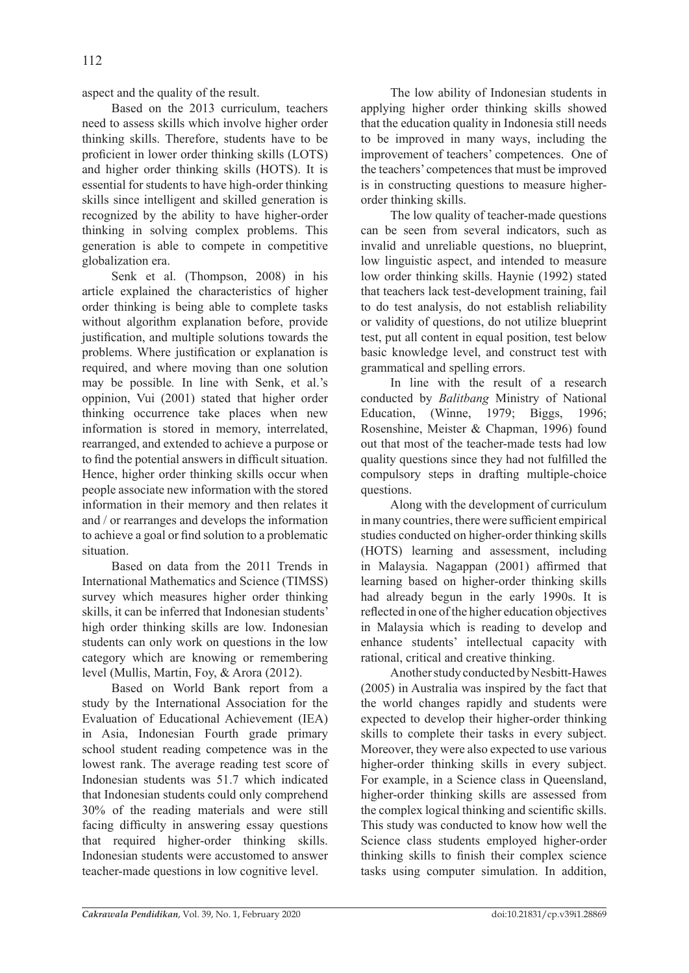aspect and the quality of the result.

Based on the 2013 curriculum, teachers need to assess skills which involve higher order thinking skills. Therefore, students have to be proficient in lower order thinking skills (LOTS) and higher order thinking skills (HOTS). It is essential for students to have high-order thinking skills since intelligent and skilled generation is recognized by the ability to have higher-order thinking in solving complex problems. This generation is able to compete in competitive globalization era.

Senk et al. (Thompson, 2008) in his article explained the characteristics of higher order thinking is being able to complete tasks without algorithm explanation before, provide justification, and multiple solutions towards the problems. Where justification or explanation is required, and where moving than one solution may be possible*.* In line with Senk, et al.'s oppinion, Vui (2001) stated that higher order thinking occurrence take places when new information is stored in memory, interrelated, rearranged, and extended to achieve a purpose or to find the potential answers in difficult situation. Hence, higher order thinking skills occur when people associate new information with the stored information in their memory and then relates it and / or rearranges and develops the information to achieve a goal or find solution to a problematic situation.

Based on data from the 2011 Trends in International Mathematics and Science (TIMSS) survey which measures higher order thinking skills, it can be inferred that Indonesian students' high order thinking skills are low. Indonesian students can only work on questions in the low category which are knowing or remembering level (Mullis, Martin, Foy, & Arora (2012).

Based on World Bank report from a study by the International Association for the Evaluation of Educational Achievement (IEA) in Asia, Indonesian Fourth grade primary school student reading competence was in the lowest rank. The average reading test score of Indonesian students was 51.7 which indicated that Indonesian students could only comprehend 30% of the reading materials and were still facing difficulty in answering essay questions that required higher-order thinking skills. Indonesian students were accustomed to answer teacher-made questions in low cognitive level.

The low ability of Indonesian students in applying higher order thinking skills showed that the education quality in Indonesia still needs to be improved in many ways, including the improvement of teachers' competences. One of the teachers' competences that must be improved is in constructing questions to measure higherorder thinking skills.

The low quality of teacher-made questions can be seen from several indicators, such as invalid and unreliable questions, no blueprint, low linguistic aspect, and intended to measure low order thinking skills. Haynie (1992) stated that teachers lack test-development training, fail to do test analysis, do not establish reliability or validity of questions, do not utilize blueprint test, put all content in equal position, test below basic knowledge level, and construct test with grammatical and spelling errors.

In line with the result of a research conducted by *Balitbang* Ministry of National Education, (Winne, 1979; Biggs, 1996; Rosenshine, Meister & Chapman, 1996) found out that most of the teacher-made tests had low quality questions since they had not fulfilled the compulsory steps in drafting multiple-choice questions.

Along with the development of curriculum in many countries, there were sufficient empirical studies conducted on higher-order thinking skills (HOTS) learning and assessment, including in Malaysia. Nagappan (2001) affirmed that learning based on higher-order thinking skills had already begun in the early 1990s. It is reflected in one of the higher education objectives in Malaysia which is reading to develop and enhance students' intellectual capacity with rational, critical and creative thinking.

Another study conducted by Nesbitt-Hawes (2005) in Australia was inspired by the fact that the world changes rapidly and students were expected to develop their higher-order thinking skills to complete their tasks in every subject. Moreover, they were also expected to use various higher-order thinking skills in every subject. For example, in a Science class in Queensland, higher-order thinking skills are assessed from the complex logical thinking and scientific skills. This study was conducted to know how well the Science class students employed higher-order thinking skills to finish their complex science tasks using computer simulation. In addition,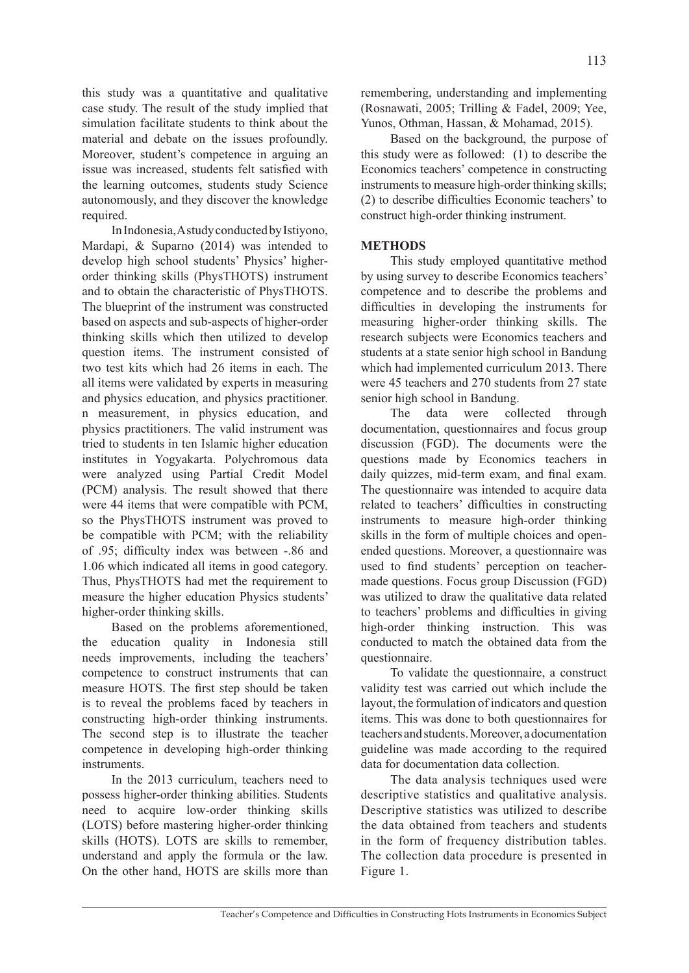this study was a quantitative and qualitative case study. The result of the study implied that simulation facilitate students to think about the material and debate on the issues profoundly. Moreover, student's competence in arguing an issue was increased, students felt satisfied with the learning outcomes, students study Science autonomously, and they discover the knowledge required.

In Indonesia, A study conducted by Istiyono, Mardapi, & Suparno (2014) was intended to develop high school students' Physics' higherorder thinking skills (PhysTHOTS) instrument and to obtain the characteristic of PhysTHOTS. The blueprint of the instrument was constructed based on aspects and sub-aspects of higher-order thinking skills which then utilized to develop question items. The instrument consisted of two test kits which had 26 items in each. The all items were validated by experts in measuring and physics education, and physics practitioner. n measurement, in physics education, and physics practitioners. The valid instrument was tried to students in ten Islamic higher education institutes in Yogyakarta. Polychromous data were analyzed using Partial Credit Model (PCM) analysis. The result showed that there were 44 items that were compatible with PCM, so the PhysTHOTS instrument was proved to be compatible with PCM; with the reliability of .95; difficulty index was between -.86 and 1.06 which indicated all items in good category. Thus, PhysTHOTS had met the requirement to measure the higher education Physics students' higher-order thinking skills.

Based on the problems aforementioned, the education quality in Indonesia still needs improvements, including the teachers' competence to construct instruments that can measure HOTS. The first step should be taken is to reveal the problems faced by teachers in constructing high-order thinking instruments. The second step is to illustrate the teacher competence in developing high-order thinking instruments.

In the 2013 curriculum, teachers need to possess higher-order thinking abilities. Students need to acquire low-order thinking skills (LOTS) before mastering higher-order thinking skills (HOTS). LOTS are skills to remember, understand and apply the formula or the law. On the other hand, HOTS are skills more than remembering, understanding and implementing (Rosnawati, 2005; Trilling & Fadel, 2009; Yee, Yunos, Othman, Hassan, & Mohamad, 2015).

Based on the background, the purpose of this study were as followed: (1) to describe the Economics teachers' competence in constructing instruments to measure high-order thinking skills; (2) to describe difficulties Economic teachers' to construct high-order thinking instrument.

## **METHODS**

This study employed quantitative method by using survey to describe Economics teachers' competence and to describe the problems and difficulties in developing the instruments for measuring higher-order thinking skills. The research subjects were Economics teachers and students at a state senior high school in Bandung which had implemented curriculum 2013. There were 45 teachers and 270 students from 27 state senior high school in Bandung.

The data were collected through documentation, questionnaires and focus group discussion (FGD). The documents were the questions made by Economics teachers in daily quizzes, mid-term exam, and final exam. The questionnaire was intended to acquire data related to teachers' difficulties in constructing instruments to measure high-order thinking skills in the form of multiple choices and openended questions. Moreover, a questionnaire was used to find students' perception on teachermade questions. Focus group Discussion (FGD) was utilized to draw the qualitative data related to teachers' problems and difficulties in giving high-order thinking instruction. This was conducted to match the obtained data from the questionnaire.

To validate the questionnaire, a construct validity test was carried out which include the layout, the formulation of indicators and question items. This was done to both questionnaires for teachers and students. Moreover, a documentation guideline was made according to the required data for documentation data collection.

The data analysis techniques used were descriptive statistics and qualitative analysis. Descriptive statistics was utilized to describe the data obtained from teachers and students in the form of frequency distribution tables. The collection data procedure is presented in Figure 1.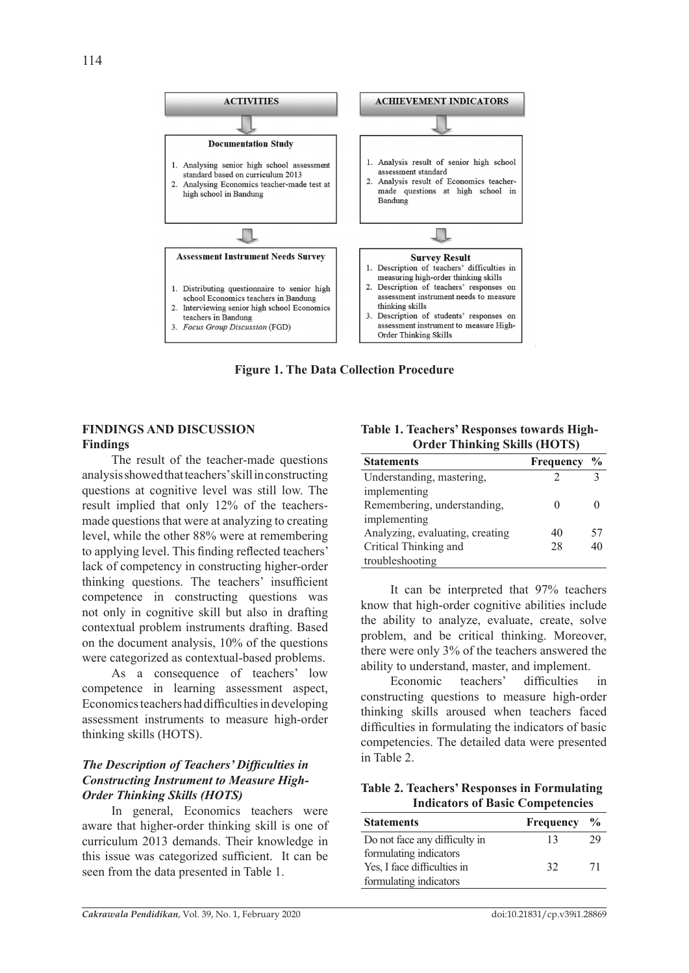

**Figure 1. The Data Collection Procedure**

## **FINDINGS AND DISCUSSION Findings**

The result of the teacher-made questions analysis showed that teachers' skill in constructing questions at cognitive level was still low. The result implied that only 12% of the teachersmade questions that were at analyzing to creating level, while the other 88% were at remembering to applying level. This finding reflected teachers' lack of competency in constructing higher-order thinking questions. The teachers' insufficient competence in constructing questions was not only in cognitive skill but also in drafting contextual problem instruments drafting. Based on the document analysis, 10% of the questions were categorized as contextual-based problems.

As a consequence of teachers' low competence in learning assessment aspect, Economics teachers had difficulties in developing assessment instruments to measure high-order thinking skills (HOTS).

## *The Description of Teachers' Difficulties in Constructing Instrument to Measure High-Order Thinking Skills (HOTS)*

In general, Economics teachers were aware that higher-order thinking skill is one of curriculum 2013 demands. Their knowledge in this issue was categorized sufficient. It can be seen from the data presented in Table 1.

**Table 1. Teachers' Responses towards High-Order Thinking Skills (HOTS)** 

| <b>Statements</b>               | Frequency | $\frac{6}{9}$ |
|---------------------------------|-----------|---------------|
| Understanding, mastering,       |           |               |
| implementing                    |           |               |
| Remembering, understanding,     |           |               |
| implementing                    |           |               |
| Analyzing, evaluating, creating | 40        | 57            |
| Critical Thinking and<br>28     |           | 40            |
| troubleshooting                 |           |               |

It can be interpreted that 97% teachers know that high-order cognitive abilities include the ability to analyze, evaluate, create, solve problem, and be critical thinking. Moreover, there were only 3% of the teachers answered the ability to understand, master, and implement.

Economic teachers' difficulties in constructing questions to measure high-order thinking skills aroused when teachers faced difficulties in formulating the indicators of basic competencies. The detailed data were presented in Table 2.

**Table 2. Teachers' Responses in Formulating Indicators of Basic Competencies**

| <b>Statements</b>             | <b>Frequency</b> | $\frac{6}{9}$ |
|-------------------------------|------------------|---------------|
| Do not face any difficulty in | 13               | 29            |
| formulating indicators        |                  |               |
| Yes, I face difficulties in   | 32               | 71            |
| formulating indicators        |                  |               |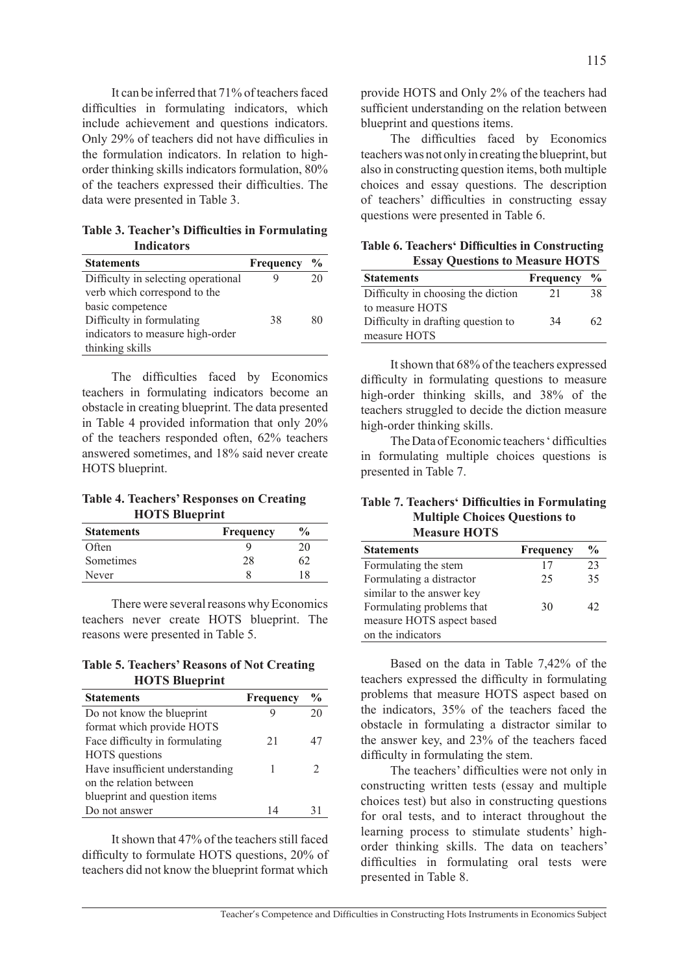It can be inferred that 71% of teachers faced difficulties in formulating indicators, which include achievement and questions indicators. Only 29% of teachers did not have difficulies in the formulation indicators. In relation to highorder thinking skills indicators formulation, 80% of the teachers expressed their difficulties. The data were presented in Table 3.

**Table 3. Teacher's Difficulties in Formulating Indicators**

| <b>Statements</b>                   | Frequency | $\frac{6}{9}$ |
|-------------------------------------|-----------|---------------|
| Difficulty in selecting operational |           | 20            |
| verb which correspond to the        |           |               |
| basic competence                    |           |               |
| Difficulty in formulating           | 38        | 80            |
| indicators to measure high-order    |           |               |
| thinking skills                     |           |               |

The difficulties faced by Economics teachers in formulating indicators become an obstacle in creating blueprint. The data presented in Table 4 provided information that only 20% of the teachers responded often, 62% teachers answered sometimes, and 18% said never create HOTS blueprint.

**Table 4. Teachers' Responses on Creating HOTS Blueprint** 

| <b>Statements</b> | Frequency | $\frac{6}{9}$ |
|-------------------|-----------|---------------|
| Often             |           | 20            |
| Sometimes         | 28        |               |
| Never             |           | 18            |

There were several reasons why Economics teachers never create HOTS blueprint. The reasons were presented in Table 5.

**Table 5. Teachers' Reasons of Not Creating HOTS Blueprint**

| <b>Statements</b>               | Frequency | $\frac{0}{0}$ |
|---------------------------------|-----------|---------------|
| Do not know the blueprint       |           | 20            |
| format which provide HOTS       |           |               |
| Face difficulty in formulating  | 21        | 47            |
| <b>HOTS</b> questions           |           |               |
| Have insufficient understanding |           |               |
| on the relation between         |           |               |
| blueprint and question items    |           |               |
| Do not answer                   | 14        | 31            |

It shown that 47% of the teachers still faced difficulty to formulate HOTS questions, 20% of teachers did not know the blueprint format which provide HOTS and Only 2% of the teachers had sufficient understanding on the relation between blueprint and questions items.

The difficulties faced by Economics teachers was not only in creating the blueprint, but also in constructing question items, both multiple choices and essay questions. The description of teachers' difficulties in constructing essay questions were presented in Table 6.

**Table 6. Teachers' Difficulties in Constructing Essay Questions to Measure HOTS**

| <b>Statements</b>                  | Frequency | $\frac{6}{9}$ |
|------------------------------------|-----------|---------------|
| Difficulty in choosing the diction | 21        | 38            |
| to measure HOTS                    |           |               |
| Difficulty in drafting question to | 34        | 62            |
| measure HOTS                       |           |               |

It shown that 68% of the teachers expressed difficulty in formulating questions to measure high-order thinking skills, and 38% of the teachers struggled to decide the diction measure high-order thinking skills.

The Data of Economic teachers ' difficulties in formulating multiple choices questions is presented in Table 7.

#### **Table 7. Teachers' Difficulties in Formulating Multiple Choices Questions to Measure HOTS**

| <b>Statements</b>         | <b>Frequency</b> | $\frac{0}{0}$ |
|---------------------------|------------------|---------------|
| Formulating the stem      | 17               | 23            |
| Formulating a distractor  | 25               | 35            |
| similar to the answer key |                  |               |
| Formulating problems that | 30               | 42            |
| measure HOTS aspect based |                  |               |
| on the indicators         |                  |               |

Based on the data in Table 7,42% of the teachers expressed the difficulty in formulating problems that measure HOTS aspect based on the indicators, 35% of the teachers faced the obstacle in formulating a distractor similar to the answer key, and 23% of the teachers faced difficulty in formulating the stem.

The teachers' difficulties were not only in constructing written tests (essay and multiple choices test) but also in constructing questions for oral tests, and to interact throughout the learning process to stimulate students' highorder thinking skills. The data on teachers' difficulties in formulating oral tests were presented in Table 8.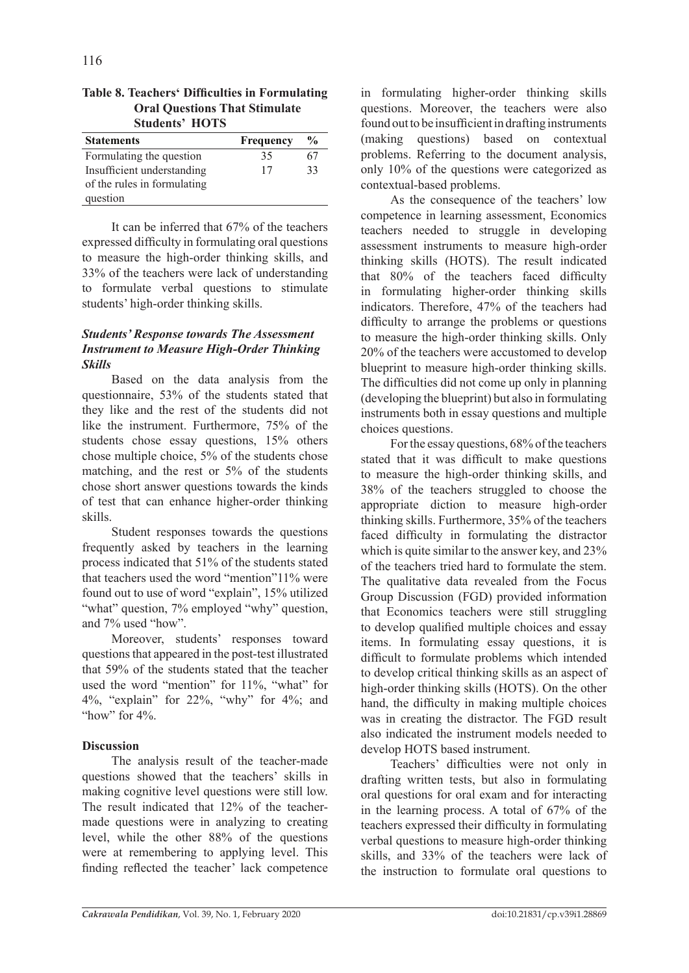|                                      | <b>Table 8. Teachers' Difficulties in Formulating</b> |  |  |
|--------------------------------------|-------------------------------------------------------|--|--|
| <b>Oral Questions That Stimulate</b> |                                                       |  |  |
|                                      | <b>Students' HOTS</b>                                 |  |  |

| <b>Statements</b>           | Frequency | $\frac{6}{9}$ |
|-----------------------------|-----------|---------------|
| Formulating the question    | 35        | 67            |
| Insufficient understanding  | 17        | 33            |
| of the rules in formulating |           |               |
| question                    |           |               |

It can be inferred that 67% of the teachers expressed difficulty in formulating oral questions to measure the high-order thinking skills, and 33% of the teachers were lack of understanding to formulate verbal questions to stimulate students' high-order thinking skills.

## *Students' Response towards The Assessment Instrument to Measure High-Order Thinking Skills*

Based on the data analysis from the questionnaire, 53% of the students stated that they like and the rest of the students did not like the instrument. Furthermore, 75% of the students chose essay questions, 15% others chose multiple choice, 5% of the students chose matching, and the rest or 5% of the students chose short answer questions towards the kinds of test that can enhance higher-order thinking skills.

Student responses towards the questions frequently asked by teachers in the learning process indicated that 51% of the students stated that teachers used the word "mention"11% were found out to use of word "explain", 15% utilized "what" question, 7% employed "why" question, and 7% used "how".

Moreover, students' responses toward questions that appeared in the post-test illustrated that 59% of the students stated that the teacher used the word "mention" for 11%, "what" for 4%, "explain" for 22%, "why" for 4%; and "how" for  $4\%$ .

# **Discussion**

The analysis result of the teacher-made questions showed that the teachers' skills in making cognitive level questions were still low. The result indicated that 12% of the teachermade questions were in analyzing to creating level, while the other 88% of the questions were at remembering to applying level. This finding reflected the teacher' lack competence in formulating higher-order thinking skills questions. Moreover, the teachers were also found out to be insufficient in drafting instruments (making questions) based on contextual problems. Referring to the document analysis, only 10% of the questions were categorized as contextual-based problems.

As the consequence of the teachers' low competence in learning assessment, Economics teachers needed to struggle in developing assessment instruments to measure high-order thinking skills (HOTS). The result indicated that 80% of the teachers faced difficulty in formulating higher-order thinking skills indicators. Therefore, 47% of the teachers had difficulty to arrange the problems or questions to measure the high-order thinking skills. Only 20% of the teachers were accustomed to develop blueprint to measure high-order thinking skills. The difficulties did not come up only in planning (developing the blueprint) but also in formulating instruments both in essay questions and multiple choices questions.

For the essay questions, 68% of the teachers stated that it was difficult to make questions to measure the high-order thinking skills, and 38% of the teachers struggled to choose the appropriate diction to measure high-order thinking skills. Furthermore, 35% of the teachers faced difficulty in formulating the distractor which is quite similar to the answer key, and 23% of the teachers tried hard to formulate the stem. The qualitative data revealed from the Focus Group Discussion (FGD) provided information that Economics teachers were still struggling to develop qualified multiple choices and essay items. In formulating essay questions, it is difficult to formulate problems which intended to develop critical thinking skills as an aspect of high-order thinking skills (HOTS). On the other hand, the difficulty in making multiple choices was in creating the distractor. The FGD result also indicated the instrument models needed to develop HOTS based instrument.

Teachers' difficulties were not only in drafting written tests, but also in formulating oral questions for oral exam and for interacting in the learning process. A total of 67% of the teachers expressed their difficulty in formulating verbal questions to measure high-order thinking skills, and 33% of the teachers were lack of the instruction to formulate oral questions to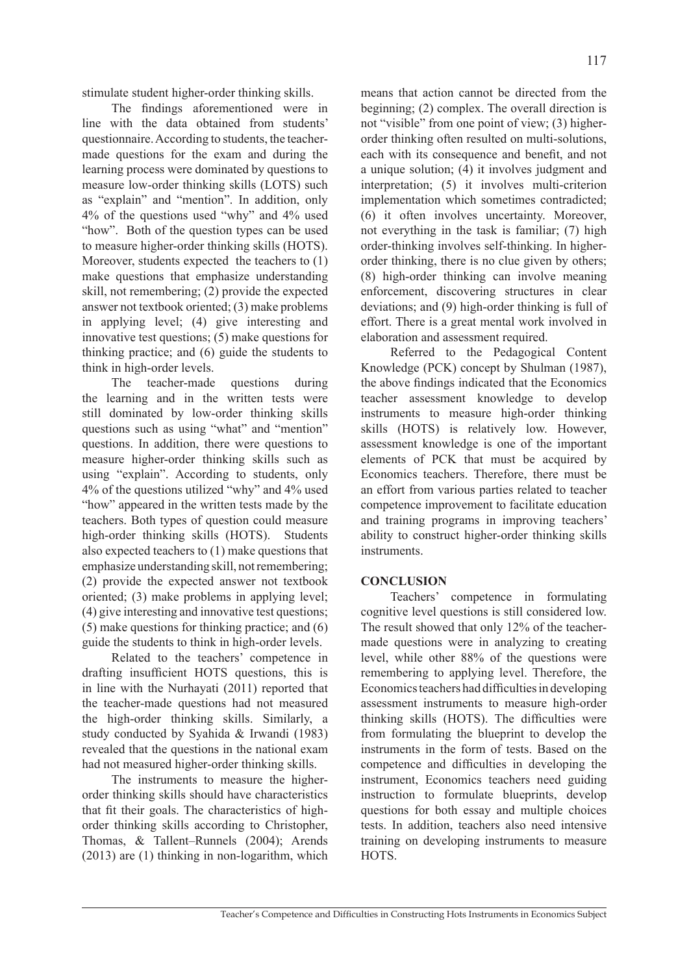stimulate student higher-order thinking skills.

The findings aforementioned were in line with the data obtained from students' questionnaire. According to students, the teachermade questions for the exam and during the learning process were dominated by questions to measure low-order thinking skills (LOTS) such as "explain" and "mention". In addition, only 4% of the questions used "why" and 4% used "how". Both of the question types can be used to measure higher-order thinking skills (HOTS). Moreover, students expected the teachers to (1) make questions that emphasize understanding skill, not remembering; (2) provide the expected answer not textbook oriented; (3) make problems in applying level; (4) give interesting and innovative test questions; (5) make questions for thinking practice; and (6) guide the students to think in high-order levels.

The teacher-made questions during the learning and in the written tests were still dominated by low-order thinking skills questions such as using "what" and "mention" questions. In addition, there were questions to measure higher-order thinking skills such as using "explain". According to students, only 4% of the questions utilized "why" and 4% used "how" appeared in the written tests made by the teachers. Both types of question could measure high-order thinking skills (HOTS). Students also expected teachers to (1) make questions that emphasize understanding skill, not remembering; (2) provide the expected answer not textbook oriented; (3) make problems in applying level; (4) give interesting and innovative test questions; (5) make questions for thinking practice; and (6) guide the students to think in high-order levels.

Related to the teachers' competence in drafting insufficient HOTS questions, this is in line with the Nurhayati (2011) reported that the teacher-made questions had not measured the high-order thinking skills. Similarly, a study conducted by Syahida & Irwandi (1983) revealed that the questions in the national exam had not measured higher-order thinking skills.

The instruments to measure the higherorder thinking skills should have characteristics that fit their goals. The characteristics of highorder thinking skills according to Christopher, Thomas, & Tallent–Runnels (2004); Arends (2013) are (1) thinking in non-logarithm, which means that action cannot be directed from the beginning; (2) complex. The overall direction is not "visible" from one point of view; (3) higherorder thinking often resulted on multi-solutions, each with its consequence and benefit, and not a unique solution; (4) it involves judgment and interpretation; (5) it involves multi-criterion implementation which sometimes contradicted; (6) it often involves uncertainty. Moreover, not everything in the task is familiar; (7) high order-thinking involves self-thinking. In higherorder thinking, there is no clue given by others; (8) high-order thinking can involve meaning enforcement, discovering structures in clear deviations; and (9) high-order thinking is full of effort. There is a great mental work involved in elaboration and assessment required.

Referred to the Pedagogical Content Knowledge (PCK) concept by Shulman (1987), the above findings indicated that the Economics teacher assessment knowledge to develop instruments to measure high-order thinking skills (HOTS) is relatively low. However, assessment knowledge is one of the important elements of PCK that must be acquired by Economics teachers. Therefore, there must be an effort from various parties related to teacher competence improvement to facilitate education and training programs in improving teachers' ability to construct higher-order thinking skills instruments.

## **CONCLUSION**

Teachers' competence in formulating cognitive level questions is still considered low. The result showed that only 12% of the teachermade questions were in analyzing to creating level, while other 88% of the questions were remembering to applying level. Therefore, the Economics teachers had difficulties in developing assessment instruments to measure high-order thinking skills (HOTS). The difficulties were from formulating the blueprint to develop the instruments in the form of tests. Based on the competence and difficulties in developing the instrument, Economics teachers need guiding instruction to formulate blueprints, develop questions for both essay and multiple choices tests. In addition, teachers also need intensive training on developing instruments to measure HOTS.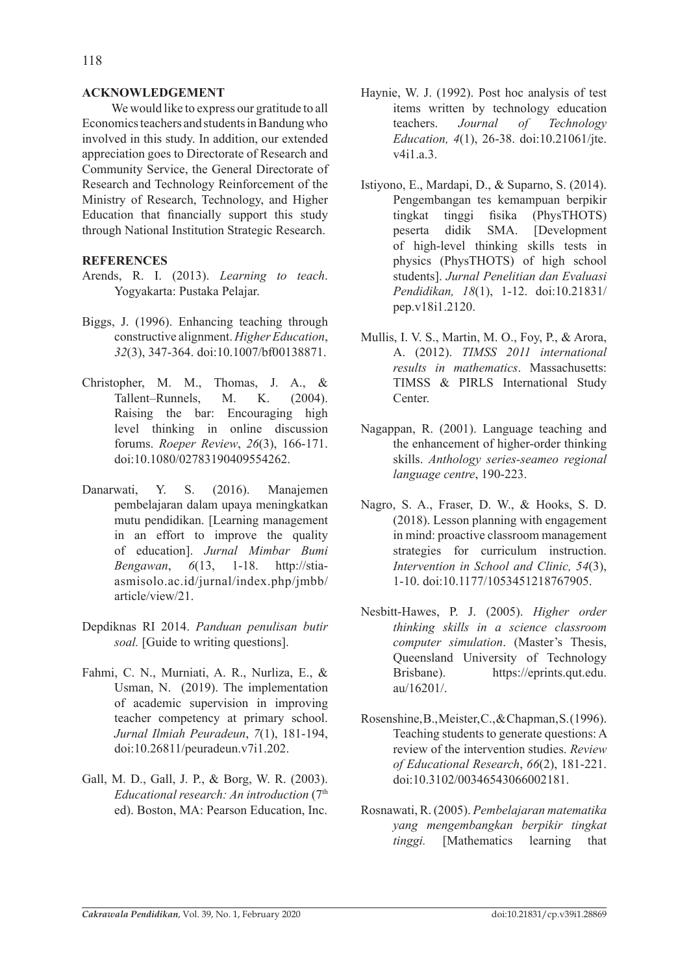### **ACKNOWLEDGEMENT**

We would like to express our gratitude to all Economics teachers and students in Bandung who involved in this study. In addition, our extended appreciation goes to Directorate of Research and Community Service, the General Directorate of Research and Technology Reinforcement of the Ministry of Research, Technology, and Higher Education that financially support this study through National Institution Strategic Research.

### **REFERENCES**

- Arends, R. I. (2013). *Learning to teach*. Yogyakarta: Pustaka Pelajar.
- Biggs, J. (1996). Enhancing teaching through constructive alignment. *Higher Education*, *32*(3), 347-364. doi:10.1007/bf00138871.
- Christopher, M. M., Thomas, J. A., & Tallent–Runnels, M. K. (2004). Raising the bar: Encouraging high level thinking in online discussion forums. *Roeper Review*, *26*(3), 166-171. doi:10.1080/02783190409554262.
- Danarwati, Y. S. (2016). Manajemen pembelajaran dalam upaya meningkatkan mutu pendidikan. [Learning management in an effort to improve the quality of education]. *Jurnal Mimbar Bumi Bengawan*, *6*(13, 1-18. http://stiaasmisolo.ac.id/jurnal/index.php/jmbb/ article/view/21.
- Depdiknas RI 2014. *Panduan penulisan butir soal.* [Guide to writing questions].
- Fahmi, C. N., Murniati, A. R., Nurliza, E., & Usman, N. (2019). The implementation of academic supervision in improving teacher competency at primary school. *Jurnal Ilmiah Peuradeun*, *7*(1), 181-194, doi:10.26811/peuradeun.v7i1.202.
- Gall, M. D., Gall, J. P., & Borg, W. R. (2003). *Educational research: An introduction* (7th ed). Boston, MA: Pearson Education, Inc.
- Haynie, W. J. (1992). Post hoc analysis of test items written by technology education teachers. *Journal of Technology Education, 4*(1), 26-38. doi:10.21061/jte. v4i1.a.3.
- Istiyono, E., Mardapi, D., & Suparno, S. (2014). Pengembangan tes kemampuan berpikir tingkat tinggi fisika (PhysTHOTS) peserta didik SMA. [Development of high-level thinking skills tests in physics (PhysTHOTS) of high school students]. *Jurnal Penelitian dan Evaluasi Pendidikan, 18*(1), 1-12. doi:10.21831/ pep.v18i1.2120.
- Mullis, I. V. S., Martin, M. O., Foy, P., & Arora, A. (2012). *TIMSS 2011 international results in mathematics*. Massachusetts: TIMSS & PIRLS International Study Center.
- Nagappan, R. (2001). Language teaching and the enhancement of higher-order thinking skills. *Anthology series-seameo regional language centre*, 190-223.
- Nagro, S. A., Fraser, D. W., & Hooks, S. D. (2018). Lesson planning with engagement in mind: proactive classroom management strategies for curriculum instruction. *Intervention in School and Clinic, 54*(3), 1-10. doi:10.1177/1053451218767905.
- Nesbitt-Hawes, P. J. (2005). *Higher order thinking skills in a science classroom computer simulation*. (Master's Thesis, Queensland University of Technology Brisbane). https://eprints.qut.edu. au/16201/.
- Rosenshine, B., Meister, C., & Chapman, S. (1996). Teaching students to generate questions: A review of the intervention studies. *Review of Educational Research*, *66*(2), 181-221. doi:10.3102/00346543066002181.
- Rosnawati, R. (2005). *Pembelajaran matematika yang mengembangkan berpikir tingkat tinggi.* [Mathematics learning that